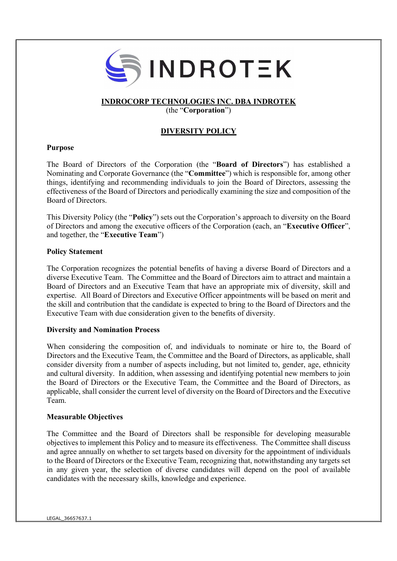

# INDROCORP TECHNOLOGIES INC. DBA INDROTEK

(the "Corporation")

# DIVERSITY POLICY

### Purpose

The Board of Directors of the Corporation (the "Board of Directors") has established a Nominating and Corporate Governance (the "Committee") which is responsible for, among other things, identifying and recommending individuals to join the Board of Directors, assessing the effectiveness of the Board of Directors and periodically examining the size and composition of the Board of Directors.

This Diversity Policy (the "Policy") sets out the Corporation's approach to diversity on the Board of Directors and among the executive officers of the Corporation (each, an "Executive Officer", and together, the "Executive Team")

#### Policy Statement

The Corporation recognizes the potential benefits of having a diverse Board of Directors and a diverse Executive Team. The Committee and the Board of Directors aim to attract and maintain a Board of Directors and an Executive Team that have an appropriate mix of diversity, skill and expertise. All Board of Directors and Executive Officer appointments will be based on merit and the skill and contribution that the candidate is expected to bring to the Board of Directors and the Executive Team with due consideration given to the benefits of diversity.

#### Diversity and Nomination Process

When considering the composition of, and individuals to nominate or hire to, the Board of Directors and the Executive Team, the Committee and the Board of Directors, as applicable, shall consider diversity from a number of aspects including, but not limited to, gender, age, ethnicity and cultural diversity. In addition, when assessing and identifying potential new members to join the Board of Directors or the Executive Team, the Committee and the Board of Directors, as applicable, shall consider the current level of diversity on the Board of Directors and the Executive Team.

#### Measurable Objectives

The Committee and the Board of Directors shall be responsible for developing measurable objectives to implement this Policy and to measure its effectiveness. The Committee shall discuss and agree annually on whether to set targets based on diversity for the appointment of individuals to the Board of Directors or the Executive Team, recognizing that, notwithstanding any targets set in any given year, the selection of diverse candidates will depend on the pool of available candidates with the necessary skills, knowledge and experience.